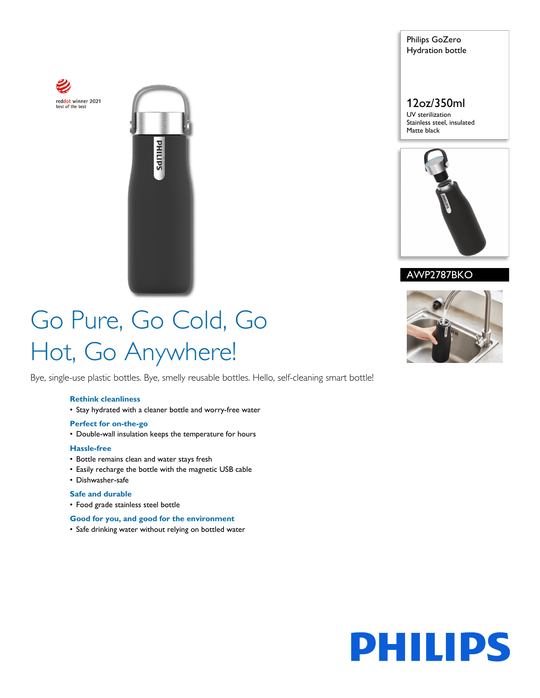



Philips GoZero Hydration bottle

12oz/350ml UV sterilization

Stainless steel, insulated Matte black



AWP2787BKO

# Go Pure, Go Cold, Go Hot, Go Anywhere!

Bye, single-use plastic bottles. Bye, smelly reusable bottles. Hello, self-cleaning smart bottle!

## **Rethink cleanliness**

• Stay hydrated with a cleaner bottle and worry-free water

### **Perfect for on-the-go**

• Double-wall insulation keeps the temperature for hours

## **Hassle-free**

- Bottle remains clean and water stays fresh
- Easily recharge the bottle with the magnetic USB cable
- Dishwasher-safe

## **Safe and durable**

• Food grade stainless steel bottle

## **Good for you, and good for the environment**

• Safe drinking water without relying on bottled water